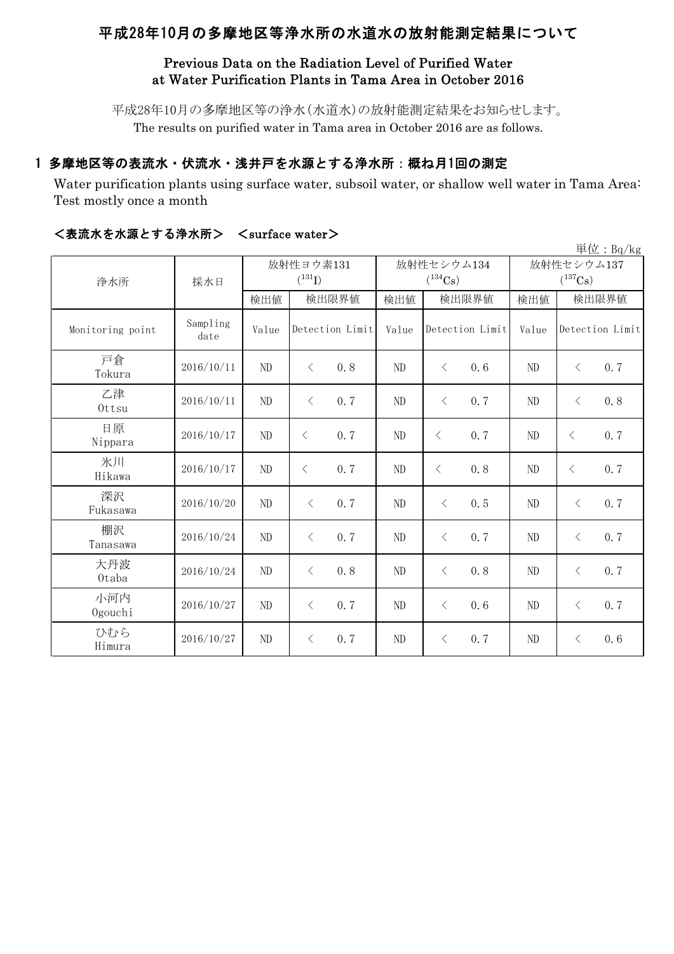# 平成28年10月の多摩地区等浄水所の水道水の放射能測定結果について

# Previous Data on the Radiation Level of Purified Water at Water Purification Plants in Tama Area in October 2016

平成28年10月の多摩地区等の浄水(水道水)の放射能測定結果をお知らせします。 The results on purified water in Tama area in October 2016 are as follows.

# 1 多摩地区等の表流水・伏流水・浅井戸を水源とする浄水所:概ね月1回の測定

Water purification plants using surface water, subsoil water, or shallow well water in Tama Area: Test mostly once a month

|                  |                  |          |                          |       |                                     |                            | 単位: Bq/kg        |  |
|------------------|------------------|----------|--------------------------|-------|-------------------------------------|----------------------------|------------------|--|
| 浄水所              | 採水日              |          | 放射性ヨウ素131<br>$(^{131}I)$ |       | 放射性セシウム134<br>$(^{134}\mathrm{Cs})$ | 放射性セシウム137<br>$(^{137}Cs)$ |                  |  |
|                  |                  | 検出値      | 検出限界値                    | 検出値   | 検出限界値                               | 検出値                        | 検出限界値            |  |
| Monitoring point | Sampling<br>date | Value    | Detection Limit          | Value | Detection Limit                     | Value<br>Detection Limit   |                  |  |
| 戸倉<br>Tokura     | 2016/10/11       | $\rm ND$ | 0.8<br>$\langle$         | ND    | 0.6<br>$\langle$                    | ND                         | 0.7<br>$\langle$ |  |
| 乙津<br>Ottsu      | 2016/10/11       | ND       | $\langle$<br>0.7         | ND    | 0.7<br>$\lt$                        | ND                         | 0.8<br>$\langle$ |  |
| 日原<br>Nippara    | 2016/10/17       | ND       | 0.7<br>$\langle$         | ND    | 0.7<br>$\lt$                        | ND                         | 0.7<br>$\lt$     |  |
| 氷川<br>Hikawa     | 2016/10/17       | $\rm ND$ | 0.7<br>$\langle$         | ND    | 0.8<br>$\lt$                        | ND                         | 0.7<br>$\lt$     |  |
| 深沢<br>Fukasawa   | 2016/10/20       | ND       | 0.7<br>$\langle$         | ND    | $\lt$<br>0.5                        | ND                         | 0.7<br>$\lt$     |  |
| 棚沢<br>Tanasawa   | 2016/10/24       | $\rm ND$ | 0.7<br>$\langle$         | ND    | 0.7<br>$\langle$                    | ND                         | 0.7<br>$\langle$ |  |
| 大丹波<br>0taba     | 2016/10/24       | $\rm ND$ | 0.8<br>$\langle$         | ND    | 0.8<br>$\lt$                        | ND                         | 0.7<br>$\lt$     |  |
| 小河内<br>Ogouchi   | 2016/10/27       | $\rm ND$ | 0.7<br>$\langle$         | ND    | $\langle$<br>0.6                    | ND                         | 0.7<br>$\langle$ |  |
| ひむら<br>Himura    | 2016/10/27       | ND       | 0.7<br>$\lt$             | ND    | 0.7<br>$\langle$                    | ND                         | 0.6<br>$\langle$ |  |

### <表流水を水源とする浄水所> <surface water>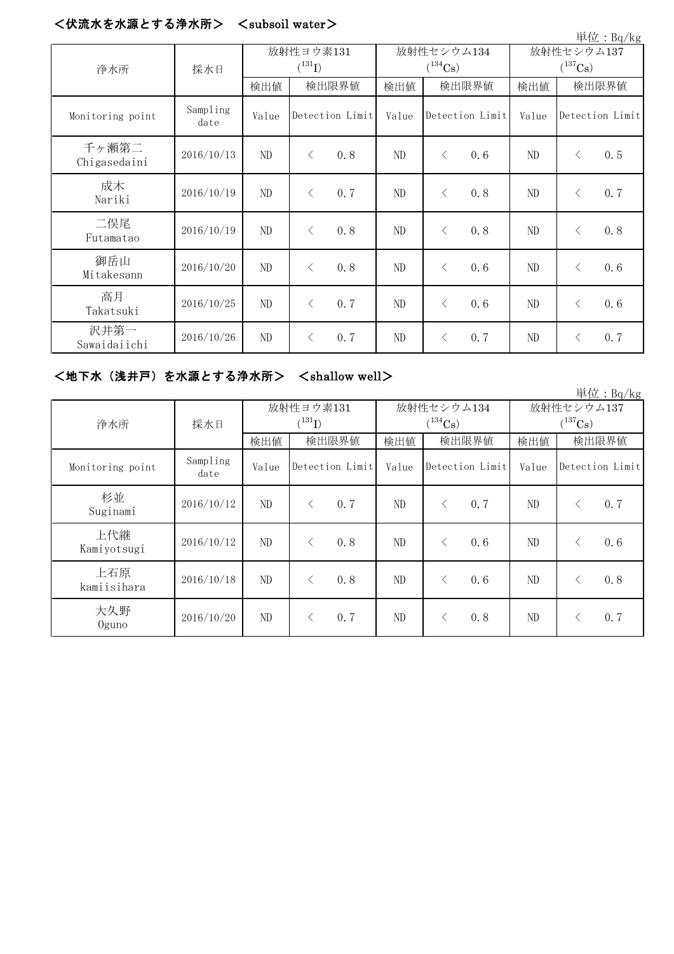#### <伏流水を水源とする浄水所> <subsoil water>

|                       |                  |                          |                 |     |                            |                 |     |                                     |                 | 単位: Bq/kg |
|-----------------------|------------------|--------------------------|-----------------|-----|----------------------------|-----------------|-----|-------------------------------------|-----------------|-----------|
| 浄水所                   | 採水日              | 放射性ヨウ素131<br>$(^{131}I)$ |                 |     | 放射性セシウム134<br>$(^{134}Cs)$ |                 |     | 放射性セシウム137<br>$(^{137}\mathrm{Cs})$ |                 |           |
|                       |                  | 検出値                      | 検出限界値           |     | 検出値                        | 検出限界値           |     | 検出値                                 | 検出限界値           |           |
| Monitoring point      | Sampling<br>date | Value                    | Detection Limit |     | Value                      | Detection Limit |     | Value                               | Detection Limit |           |
| 千ヶ瀬第二<br>Chigasedaini | 2016/10/13       | ND                       | $\langle$       | 0.8 | ND                         | $\langle$       | 0.6 | ND                                  | $\langle$       | 0.5       |
| 成木<br>Nariki          | 2016/10/19       | ND                       | $\lt$           | 0.7 | ND                         | $\langle$       | 0.8 | ND                                  | $\langle$       | 0.7       |
| 二俣尾<br>Futamatao      | 2016/10/19       | ND                       | $\langle$       | 0.8 | ND                         | $\lt$           | 0.8 | ND                                  | $\lt$           | 0.8       |
| 御岳山<br>Mitakesann     | 2016/10/20       | ND                       | $\langle$       | 0.8 | ND                         | $\langle$       | 0.6 | ND                                  | $\langle$       | 0.6       |
| 高月<br>Takatsuki       | 2016/10/25       | ND                       | $\langle$       | 0.7 | ND                         | $\langle$       | 0.6 | ND                                  | $\langle$       | 0.6       |
| 沢井第一<br>Sawaidaiichi  | 2016/10/26       | $\rm ND$                 | ⟨               | 0.7 | ND                         | $\lt$           | 0.7 | ND                                  | $\lt$           | 0.7       |

### <地下水(浅井戸)を水源とする浄水所> <shallow well>

単位:Bq/kg 検出値 | 検出値 | 検出限界値 | 検出値 | 検出限界値 Monitoring point Sampling<br>date date Value Value Value Detection Limit Detection Limit Detection Limit 杉並 Suginami 2016/10/12 ND <sup>&</sup>lt; 0.7 ND <sup>&</sup>lt; 0.7 ND <sup>&</sup>lt; 0.7 上代継 Kamiyotsugi 2016/10/12 ND <sup>&</sup>lt; 0.8 ND <sup>&</sup>lt; 0.6 ND <sup>&</sup>lt; 0.6 上石原 kamiisihara 2016/10/18 ND <sup>&</sup>lt; 0.8 ND <sup>&</sup>lt; 0.6 ND <sup>&</sup>lt; 0.8 大久野 Oguno 2016/10/20 ND <sup>&</sup>lt; 0.7 ND <sup>&</sup>lt; 0.8 ND <sup>&</sup>lt; 0.7 放射性ヨウ素131  $(^{131}I)$ 放射性セシウム134  $(^{134}Cs)$ 放射性セシウム137  $(^{137}\mathrm{Cs})$ 浄水所 採水日